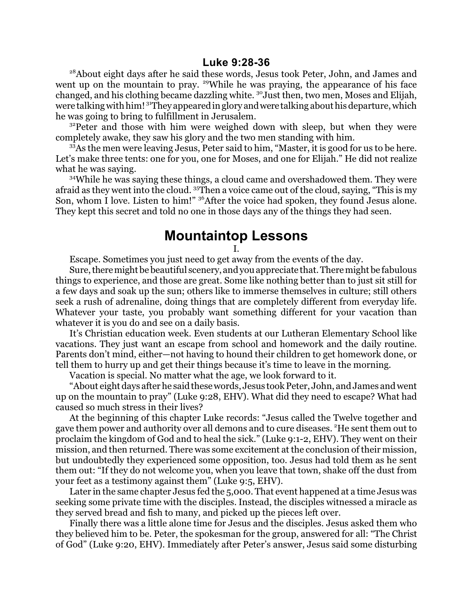<sup>28</sup>About eight days after he said these words, Jesus took Peter, John, and James and went up on the mountain to pray. <sup>29</sup>While he was praying, the appearance of his face changed, and his clothing became dazzling white. <sup>30</sup>Just then, two men, Moses and Elijah, were talking with him! <sup>31</sup>They appeared in glory and were talking about his departure, which he was going to bring to fulfillment in Jerusalem.

<sup>32</sup>Peter and those with him were weighed down with sleep, but when they were completely awake, they saw his glory and the two men standing with him.

<sup>33</sup>As the men were leaving Jesus, Peter said to him, "Master, it is good for us to be here. Let's make three tents: one for you, one for Moses, and one for Elijah." He did not realize what he was saying.

<sup>34</sup>While he was saying these things, a cloud came and overshadowed them. They were afraid as they went into the cloud. <sup>35</sup>Then a voice came out of the cloud, saying, "This is my Son, whom I love. Listen to him!" <sup>36</sup>After the voice had spoken, they found Jesus alone. They kept this secret and told no one in those days any of the things they had seen.

## **Mountaintop Lessons**

I.

Escape. Sometimes you just need to get away from the events of the day.

Sure, there might be beautiful scenery, and you appreciate that. There might be fabulous things to experience, and those are great. Some like nothing better than to just sit still for a few days and soak up the sun; others like to immerse themselves in culture; still others seek a rush of adrenaline, doing things that are completely different from everyday life. Whatever your taste, you probably want something different for your vacation than whatever it is you do and see on a daily basis.

It's Christian education week. Even students at our Lutheran Elementary School like vacations. They just want an escape from school and homework and the daily routine. Parents don't mind, either—not having to hound their children to get homework done, or tell them to hurry up and get their things because it's time to leave in the morning.

Vacation is special. No matter what the age, we look forward to it.

"About eight days after he said these words, Jesus took Peter, John, and James and went up on the mountain to pray" (Luke 9:28, EHV). What did they need to escape? What had caused so much stress in their lives?

At the beginning of this chapter Luke records: "Jesus called the Twelve together and gave them power and authority over all demons and to cure diseases. <sup>2</sup>He sent them out to proclaim the kingdom of God and to heal the sick." (Luke 9:1-2, EHV). They went on their mission, and then returned. There was some excitement at the conclusion of their mission, but undoubtedly they experienced some opposition, too. Jesus had told them as he sent them out: "If they do not welcome you, when you leave that town, shake off the dust from your feet as a testimony against them" (Luke 9:5, EHV).

Later in the same chapter Jesus fed the 5,000. That event happened at a time Jesus was seeking some private time with the disciples. Instead, the disciples witnessed a miracle as they served bread and fish to many, and picked up the pieces left over.

Finally there was a little alone time for Jesus and the disciples. Jesus asked them who they believed him to be. Peter, the spokesman for the group, answered for all: "The Christ of God" (Luke 9:20, EHV). Immediately after Peter's answer, Jesus said some disturbing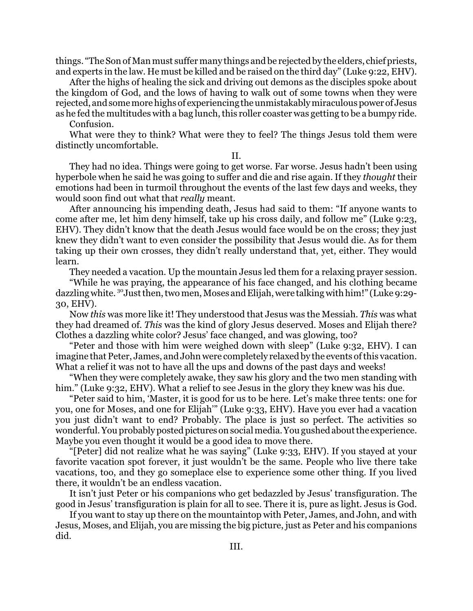things. "The Son of Man must suffer many things and be rejected by the elders, chiefpriests, and experts in the law. He must be killed and be raised on the third day" (Luke 9:22, EHV).

After the highs of healing the sick and driving out demons as the disciples spoke about the kingdom of God, and the lows of having to walk out of some towns when they were rejected, and some more highs of experiencing the unmistakably miraculous power of Jesus as he fed the multitudes with a bag lunch, this roller coaster was getting to be a bumpy ride.

Confusion.

What were they to think? What were they to feel? The things Jesus told them were distinctly uncomfortable.

## II.

They had no idea. Things were going to get worse. Far worse. Jesus hadn't been using hyperbole when he said he was going to suffer and die and rise again. If they *thought* their emotions had been in turmoil throughout the events of the last few days and weeks, they would soon find out what that *really* meant.

After announcing his impending death, Jesus had said to them: "If anyone wants to come after me, let him deny himself, take up his cross daily, and follow me" (Luke 9:23, EHV). They didn't know that the death Jesus would face would be on the cross; they just knew they didn't want to even consider the possibility that Jesus would die. As for them taking up their own crosses, they didn't really understand that, yet, either. They would learn.

They needed a vacation. Up the mountain Jesus led them for a relaxing prayer session.

"While he was praying, the appearance of his face changed, and his clothing became dazzling white. <sup>30</sup>Just then, two men, Moses and Elijah, were talking with him!" (Luke 9:29-30, EHV).

Now *this* was more like it! They understood that Jesus was the Messiah. *This* was what they had dreamed of. *This* was the kind of glory Jesus deserved. Moses and Elijah there? Clothes a dazzling white color? Jesus' face changed, and was glowing, too?

"Peter and those with him were weighed down with sleep" (Luke 9:32, EHV). I can imagine that Peter, James, and John were completely relaxed by the events ofthis vacation. What a relief it was not to have all the ups and downs of the past days and weeks!

"When they were completely awake, they saw his glory and the two men standing with him." (Luke 9:32, EHV). What a relief to see Jesus in the glory they knew was his due.

"Peter said to him, 'Master, it is good for us to be here. Let's make three tents: one for you, one for Moses, and one for Elijah'" (Luke 9:33, EHV). Have you ever had a vacation you just didn't want to end? Probably. The place is just so perfect. The activities so wonderful. You probably posted pictures on social media. You gushed about the experience. Maybe you even thought it would be a good idea to move there.

"[Peter] did not realize what he was saying" (Luke 9:33, EHV). If you stayed at your favorite vacation spot forever, it just wouldn't be the same. People who live there take vacations, too, and they go someplace else to experience some other thing. If you lived there, it wouldn't be an endless vacation.

It isn't just Peter or his companions who get bedazzled by Jesus' transfiguration. The good in Jesus' transfiguration is plain for all to see. There it is, pure as light. Jesus is God.

If you want to stay up there on the mountaintop with Peter, James, and John, and with Jesus, Moses, and Elijah, you are missing the big picture, just as Peter and his companions did.